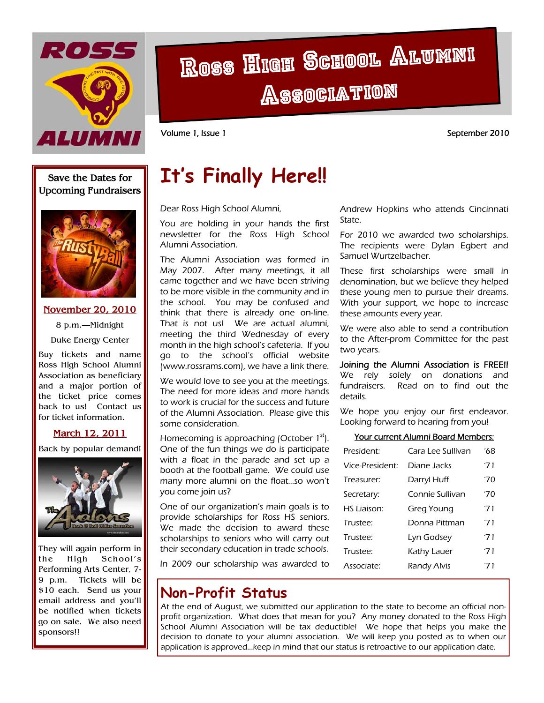

# Ross High School Alumni **Association**

Volume 1, Issue 1 September 2010

### **Save the Dates for Upcoming Fundraisers**



#### **November 20, 2010**

8 p.m.—Midnight Duke Energy Center

Buy tickets and name Ross High School Alumni Association as beneficiary and a major portion of the ticket price comes back to us! Contact us for ticket information.

#### **March 12, 2011**

Back by popular demand!



They will again perform in the High School's Performing Arts Center, 7- 9 p.m. Tickets will be \$10 each. Send us your email address and you'll be notified when tickets go on sale. We also need sponsors!!

# **It's Finally Here!!**

Dear Ross High School Alumni,

You are holding in your hands the first newsletter for the Ross High School Alumni Association.

The Alumni Association was formed in May 2007. After many meetings, it all came together and we have been striving to be more visible in the community and in the school. You may be confused and think that there is already one on-line. That is not us! We are actual alumni, meeting the third Wednesday of every month in the high school's cafeteria. If you go to the school's official website (www.rossrams.com), we have a link there.

We would love to see you at the meetings. The need for more ideas and more hands to work is crucial for the success and future of the Alumni Association. Please give this some consideration.

Homecoming is approaching (October  $1<sup>st</sup>$ ). One of the fun things we do is participate with a float in the parade and set up a booth at the football game. We could use many more alumni on the float...so won't you come join us?

One of our organization's main goals is to provide scholarships for Ross HS seniors. We made the decision to award these scholarships to seniors who will carry out their secondary education in trade schools.

In 2009 our scholarship was awarded to

### **Non-Profit Status**

At the end of August, we submitted our application to the state to become an official nonprofit organization. What does that mean for you? Any money donated to the Ross High School Alumni Association will be tax deductible! We hope that helps you make the decision to donate to your alumni association. We will keep you posted as to when our application is approved...keep in mind that our status is retroactive to our application date.

Andrew Hopkins who attends Cincinnati State.

For 2010 we awarded two scholarships. The recipients were Dylan Egbert and Samuel Wurtzelbacher.

These first scholarships were small in denomination, but we believe they helped these young men to pursue their dreams. With your support, we hope to increase these amounts every year.

We were also able to send a contribution to the After-prom Committee for the past two years.

Joining the Alumni Association is FREE!! We rely solely on donations and fundraisers. Read on to find out the details.

We hope you enjoy our first endeavor. Looking forward to hearing from you!

#### Your current Alumni Board Members:

| President:         | Cara Lee Sullivan | '68 |
|--------------------|-------------------|-----|
| Vice-President:    | Diane Jacks       | '71 |
| Treasurer:         | Darryl Huff       | '70 |
| Secretary:         | Connie Sullivan   | '70 |
| <b>HS Liaison:</b> | Greg Young        | '71 |
| Trustee:           | Donna Pittman     | '71 |
| Trustee:           | Lyn Godsey        | '71 |
| Trustee:           | Kathy Lauer       | '71 |
| Associate:         | Randy Alvis       | '71 |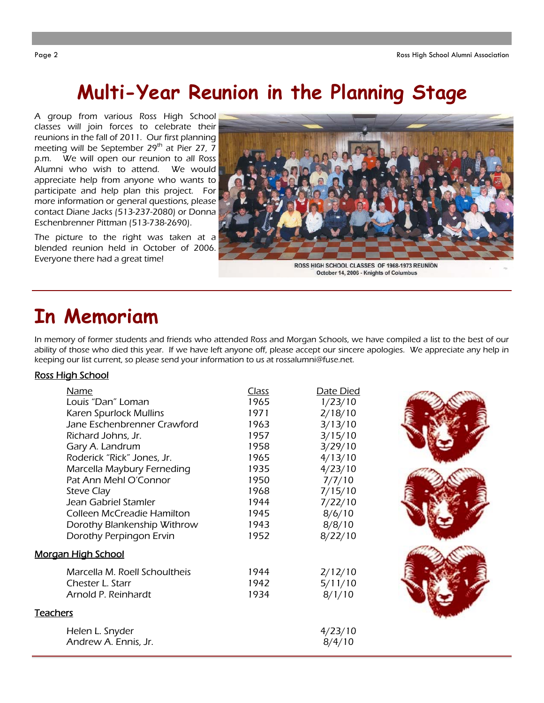### **Multi-Year Reunion in the Planning Stage**

A group from various Ross High School classes will join forces to celebrate their reunions in the fall of 2011. Our first planning meeting will be September  $29<sup>th</sup>$  at Pier 27, 7 p.m. We will open our reunion to all Ross Alumni who wish to attend. We would appreciate help from anyone who wants to participate and help plan this project. For more information or general questions, please contact Diane Jacks (513-237-2080) or Donna Eschenbrenner Pittman (513-738-2690).

The picture to the right was taken at a blended reunion held in October of 2006. Everyone there had a great time!



October 14, 2006 - Knights of Columbus

# **In Memoriam**

In memory of former students and friends who attended Ross and Morgan Schools, we have compiled a list to the best of our ability of those who died this year. If we have left anyone off, please accept our sincere apologies. We appreciate any help in keeping our list current, so please send your information to us at rossalumni@fuse.net.

#### Ross High School

| <b>Name</b>                   | <b>Class</b> | Date Died |  |
|-------------------------------|--------------|-----------|--|
| Louis "Dan" Loman             | 1965         | 1/23/10   |  |
| Karen Spurlock Mullins        | 1971         | 2/18/10   |  |
| Jane Eschenbrenner Crawford   | 1963         | 3/13/10   |  |
| Richard Johns, Jr.            | 1957         | 3/15/10   |  |
| Gary A. Landrum               | 1958         | 3/29/10   |  |
| Roderick "Rick" Jones, Jr.    | 1965         | 4/13/10   |  |
| Marcella Maybury Ferneding    | 1935         | 4/23/10   |  |
| Pat Ann Mehl O'Connor         | 1950         | 7/7/10    |  |
| <b>Steve Clay</b>             | 1968         | 7/15/10   |  |
| Jean Gabriel Stamler          | 1944         | 7/22/10   |  |
| Colleen McCreadie Hamilton    | 1945         | 8/6/10    |  |
| Dorothy Blankenship Withrow   | 1943         | 8/8/10    |  |
| Dorothy Perpingon Ervin       | 1952         | 8/22/10   |  |
| <b>Morgan High School</b>     |              |           |  |
| Marcella M. Roell Schoultheis | 1944         | 2/12/10   |  |
| Chester L. Starr              | 1942         | 5/11/10   |  |
| Arnold P. Reinhardt           | 1934         | 8/1/10    |  |
| <b>Teachers</b>               |              |           |  |
| Helen L. Snyder               |              | 4/23/10   |  |
| Andrew A. Ennis, Jr.          |              | 8/4/10    |  |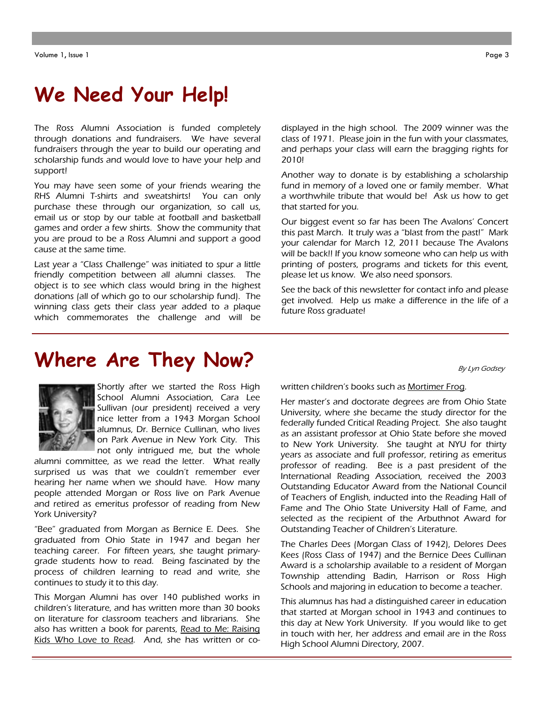## **We Need Your Help!**

The Ross Alumni Association is funded completely through donations and fundraisers. We have several fundraisers through the year to build our operating and scholarship funds and would love to have your help and support!

You may have seen some of your friends wearing the RHS Alumni T-shirts and sweatshirts! You can only purchase these through our organization, so call us, email us or stop by our table at football and basketball games and order a few shirts. Show the community that you are proud to be a Ross Alumni and support a good cause at the same time.

Last year a "Class Challenge" was initiated to spur a little friendly competition between all alumni classes. The object is to see which class would bring in the highest donations (all of which go to our scholarship fund). The winning class gets their class year added to a plaque which commemorates the challenge and will be

**Where Are They Now?** 

displayed in the high school. The 2009 winner was the class of 1971. Please join in the fun with your classmates, and perhaps your class will earn the bragging rights for 2010!

Another way to donate is by establishing a scholarship fund in memory of a loved one or family member. What a worthwhile tribute that would be! Ask us how to get that started for you.

Our biggest event so far has been The Avalons' Concert this past March. It truly was a "blast from the past!" Mark your calendar for March 12, 2011 because The Avalons will be back!! If you know someone who can help us with printing of posters, programs and tickets for this event, please let us know. We also need sponsors.

See the back of this newsletter for contact info and please get involved. Help us make a difference in the life of a future Ross graduate!

By Lyn Godsey



Shortly after we started the Ross High School Alumni Association, Cara Lee Sullivan (our president) received a very nice letter from a 1943 Morgan School alumnus, Dr. Bernice Cullinan, who lives on Park Avenue in New York City. This not only intrigued me, but the whole

alumni committee, as we read the letter. What really surprised us was that we couldn't remember ever hearing her name when we should have. How many people attended Morgan or Ross live on Park Avenue and retired as emeritus professor of reading from New York University?

"Bee" graduated from Morgan as Bernice E. Dees. She graduated from Ohio State in 1947 and began her teaching career. For fifteen years, she taught primarygrade students how to read. Being fascinated by the process of children learning to read and write, she continues to study it to this day.

This Morgan Alumni has over 140 published works in children's literature, and has written more than 30 books on literature for classroom teachers and librarians. She also has written a book for parents, Read to Me: Raising Kids Who Love to Read. And, she has written or cowritten children's books such as Mortimer Frog.

Her master's and doctorate degrees are from Ohio State University, where she became the study director for the federally funded Critical Reading Project. She also taught as an assistant professor at Ohio State before she moved to New York University. She taught at NYU for thirty years as associate and full professor, retiring as emeritus professor of reading. Bee is a past president of the International Reading Association, received the 2003 Outstanding Educator Award from the National Council of Teachers of English, inducted into the Reading Hall of Fame and The Ohio State University Hall of Fame, and selected as the recipient of the Arbuthnot Award for Outstanding Teacher of Children's Literature.

The Charles Dees (Morgan Class of 1942), Delores Dees Kees (Ross Class of 1947) and the Bernice Dees Cullinan Award is a scholarship available to a resident of Morgan Township attending Badin, Harrison or Ross High Schools and majoring in education to become a teacher.

This alumnus has had a distinguished career in education that started at Morgan school in 1943 and continues to this day at New York University. If you would like to get in touch with her, her address and email are in the Ross High School Alumni Directory, 2007.